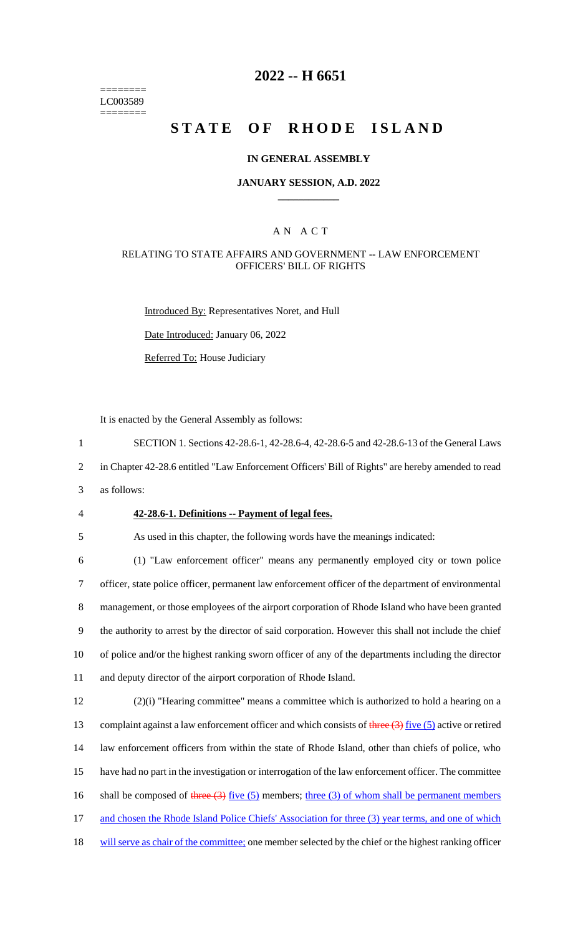======== LC003589 ========

## **2022 -- H 6651**

## **STATE OF RHODE ISLAND**

#### **IN GENERAL ASSEMBLY**

#### **JANUARY SESSION, A.D. 2022 \_\_\_\_\_\_\_\_\_\_\_\_**

## A N A C T

## RELATING TO STATE AFFAIRS AND GOVERNMENT -- LAW ENFORCEMENT OFFICERS' BILL OF RIGHTS

Introduced By: Representatives Noret, and Hull Date Introduced: January 06, 2022 Referred To: House Judiciary

It is enacted by the General Assembly as follows:

1 SECTION 1. Sections 42-28.6-1, 42-28.6-4, 42-28.6-5 and 42-28.6-13 of the General Laws

2 in Chapter 42-28.6 entitled "Law Enforcement Officers' Bill of Rights" are hereby amended to read

3 as follows:

#### 4 **42-28.6-1. Definitions -- Payment of legal fees.**

5 As used in this chapter, the following words have the meanings indicated:

 (1) "Law enforcement officer" means any permanently employed city or town police officer, state police officer, permanent law enforcement officer of the department of environmental management, or those employees of the airport corporation of Rhode Island who have been granted the authority to arrest by the director of said corporation. However this shall not include the chief of police and/or the highest ranking sworn officer of any of the departments including the director and deputy director of the airport corporation of Rhode Island.

12 (2)(i) "Hearing committee" means a committee which is authorized to hold a hearing on a 13 complaint against a law enforcement officer and which consists of  $\frac{f_1}{f_2}$  five (5) active or retired 14 law enforcement officers from within the state of Rhode Island, other than chiefs of police, who 15 have had no part in the investigation or interrogation of the law enforcement officer. The committee 16 shall be composed of three  $(3)$  five  $(5)$  members; three  $(3)$  of whom shall be permanent members 17 and chosen the Rhode Island Police Chiefs' Association for three (3) year terms, and one of which 18 will serve as chair of the committee; one member selected by the chief or the highest ranking officer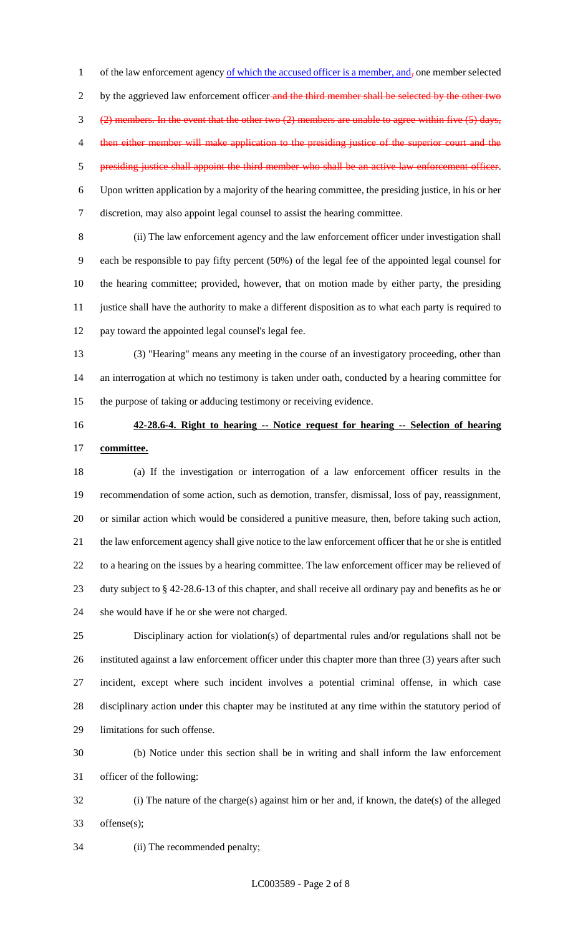1 of the law enforcement agency of which the accused officer is a member, and, one member selected 2 by the aggrieved law enforcement officer and the third member shall be selected by the other two (2) members. In the event that the other two (2) members are unable to agree within five (5) days, 4 then either member will make application to the presiding justice of the superior court and the presiding justice shall appoint the third member who shall be an active law enforcement officer. Upon written application by a majority of the hearing committee, the presiding justice, in his or her discretion, may also appoint legal counsel to assist the hearing committee. (ii) The law enforcement agency and the law enforcement officer under investigation shall each be responsible to pay fifty percent (50%) of the legal fee of the appointed legal counsel for

 the hearing committee; provided, however, that on motion made by either party, the presiding justice shall have the authority to make a different disposition as to what each party is required to pay toward the appointed legal counsel's legal fee.

 (3) "Hearing" means any meeting in the course of an investigatory proceeding, other than an interrogation at which no testimony is taken under oath, conducted by a hearing committee for the purpose of taking or adducing testimony or receiving evidence.

# **42-28.6-4. Right to hearing -- Notice request for hearing -- Selection of hearing committee.**

 (a) If the investigation or interrogation of a law enforcement officer results in the recommendation of some action, such as demotion, transfer, dismissal, loss of pay, reassignment, or similar action which would be considered a punitive measure, then, before taking such action, the law enforcement agency shall give notice to the law enforcement officer that he or she is entitled to a hearing on the issues by a hearing committee. The law enforcement officer may be relieved of duty subject to § 42-28.6-13 of this chapter, and shall receive all ordinary pay and benefits as he or she would have if he or she were not charged.

 Disciplinary action for violation(s) of departmental rules and/or regulations shall not be instituted against a law enforcement officer under this chapter more than three (3) years after such incident, except where such incident involves a potential criminal offense, in which case disciplinary action under this chapter may be instituted at any time within the statutory period of limitations for such offense.

 (b) Notice under this section shall be in writing and shall inform the law enforcement officer of the following:

 (i) The nature of the charge(s) against him or her and, if known, the date(s) of the alleged offense(s);

(ii) The recommended penalty;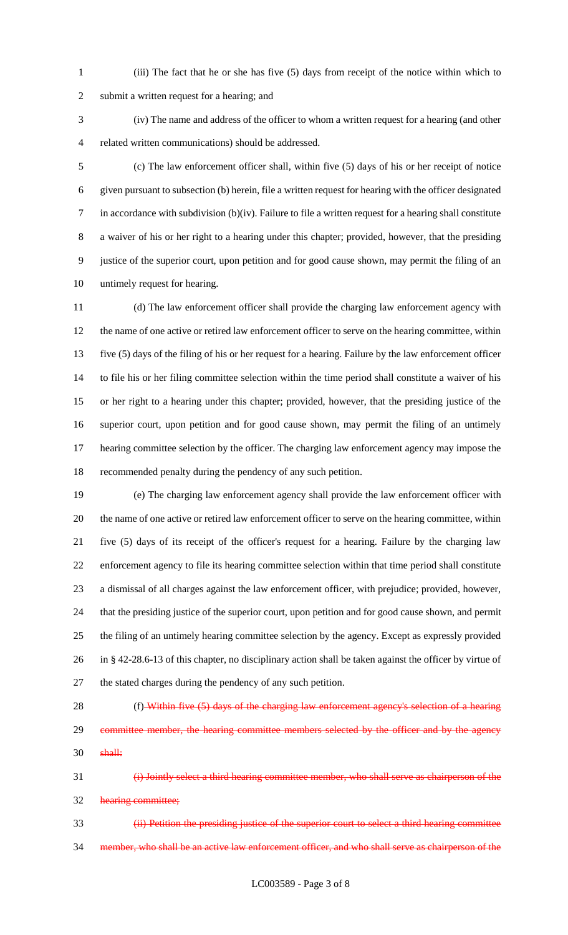(iii) The fact that he or she has five (5) days from receipt of the notice within which to submit a written request for a hearing; and

 (iv) The name and address of the officer to whom a written request for a hearing (and other related written communications) should be addressed.

 (c) The law enforcement officer shall, within five (5) days of his or her receipt of notice given pursuant to subsection (b) herein, file a written request for hearing with the officer designated in accordance with subdivision (b)(iv). Failure to file a written request for a hearing shall constitute a waiver of his or her right to a hearing under this chapter; provided, however, that the presiding justice of the superior court, upon petition and for good cause shown, may permit the filing of an untimely request for hearing.

 (d) The law enforcement officer shall provide the charging law enforcement agency with the name of one active or retired law enforcement officer to serve on the hearing committee, within five (5) days of the filing of his or her request for a hearing. Failure by the law enforcement officer to file his or her filing committee selection within the time period shall constitute a waiver of his or her right to a hearing under this chapter; provided, however, that the presiding justice of the superior court, upon petition and for good cause shown, may permit the filing of an untimely hearing committee selection by the officer. The charging law enforcement agency may impose the recommended penalty during the pendency of any such petition.

 (e) The charging law enforcement agency shall provide the law enforcement officer with the name of one active or retired law enforcement officer to serve on the hearing committee, within five (5) days of its receipt of the officer's request for a hearing. Failure by the charging law enforcement agency to file its hearing committee selection within that time period shall constitute a dismissal of all charges against the law enforcement officer, with prejudice; provided, however, that the presiding justice of the superior court, upon petition and for good cause shown, and permit the filing of an untimely hearing committee selection by the agency. Except as expressly provided in § 42-28.6-13 of this chapter, no disciplinary action shall be taken against the officer by virtue of the stated charges during the pendency of any such petition.

28 (f) Within five (5) days of the charging law enforcement agency's selection of a hearing 29 committee member, the hearing committee members selected by the officer and by the agency 30 shall:

 (i) Jointly select a third hearing committee member, who shall serve as chairperson of the hearing committee;

 (ii) Petition the presiding justice of the superior court to select a third hearing committee member, who shall be an active law enforcement officer, and who shall serve as chairperson of the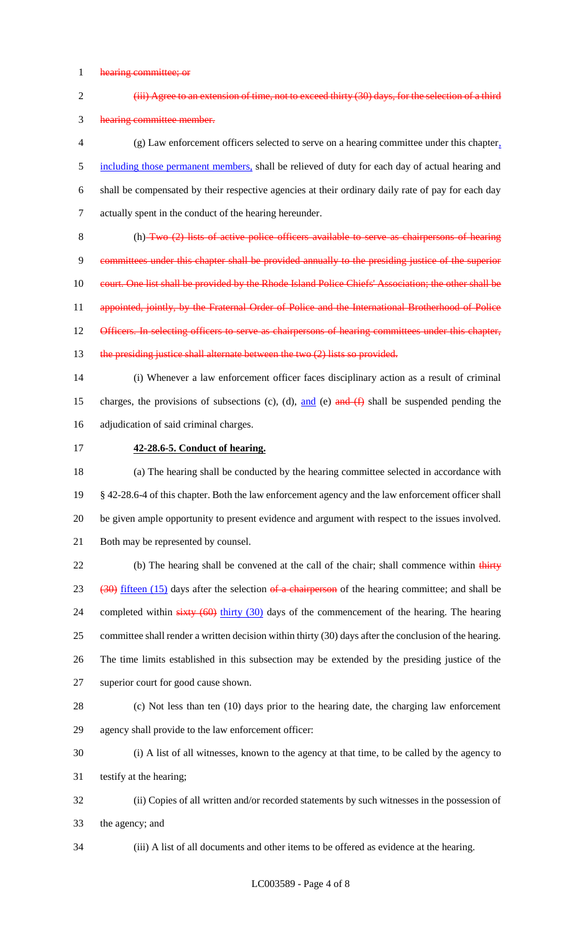hearing committee; or

 (iii) Agree to an extension of time, not to exceed thirty (30) days, for the selection of a third hearing committee member. (g) Law enforcement officers selected to serve on a hearing committee under this chapter,

5 including those permanent members, shall be relieved of duty for each day of actual hearing and shall be compensated by their respective agencies at their ordinary daily rate of pay for each day actually spent in the conduct of the hearing hereunder.

 (h) Two (2) lists of active police officers available to serve as chairpersons of hearing committees under this chapter shall be provided annually to the presiding justice of the superior 10 court. One list shall be provided by the Rhode Island Police Chiefs' Association; the other shall be 11 appointed, jointly, by the Fraternal Order of Police and the International Brotherhood of Police Officers. In selecting officers to serve as chairpersons of hearing committees under this chapter, 13 the presiding justice shall alternate between the two (2) lists so provided.

 (i) Whenever a law enforcement officer faces disciplinary action as a result of criminal 15 charges, the provisions of subsections (c), (d), and (e) and  $(f)$  shall be suspended pending the adjudication of said criminal charges.

#### **42-28.6-5. Conduct of hearing.**

 (a) The hearing shall be conducted by the hearing committee selected in accordance with § 42-28.6-4 of this chapter. Both the law enforcement agency and the law enforcement officer shall be given ample opportunity to present evidence and argument with respect to the issues involved. Both may be represented by counsel.

22 (b) The hearing shall be convened at the call of the chair; shall commence within thirty  $23 \left( \frac{30}{2} \right)$  fifteen (15) days after the selection of a chairperson of the hearing committee; and shall be 24 completed within sixty (60) thirty (30) days of the commencement of the hearing. The hearing committee shall render a written decision within thirty (30) days after the conclusion of the hearing. The time limits established in this subsection may be extended by the presiding justice of the superior court for good cause shown.

 (c) Not less than ten (10) days prior to the hearing date, the charging law enforcement agency shall provide to the law enforcement officer:

(i) A list of all witnesses, known to the agency at that time, to be called by the agency to

testify at the hearing;

 (ii) Copies of all written and/or recorded statements by such witnesses in the possession of the agency; and

(iii) A list of all documents and other items to be offered as evidence at the hearing.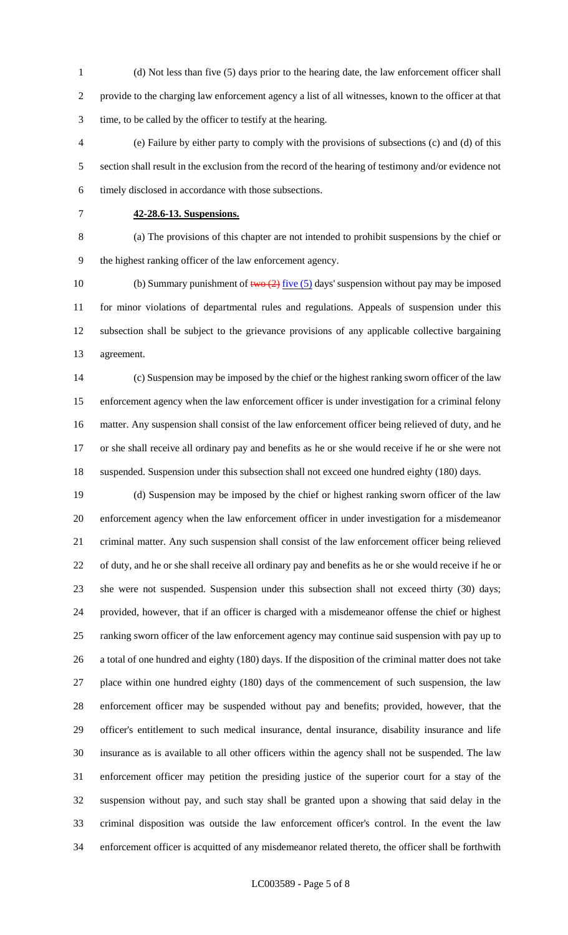(d) Not less than five (5) days prior to the hearing date, the law enforcement officer shall provide to the charging law enforcement agency a list of all witnesses, known to the officer at that time, to be called by the officer to testify at the hearing.

 (e) Failure by either party to comply with the provisions of subsections (c) and (d) of this section shall result in the exclusion from the record of the hearing of testimony and/or evidence not timely disclosed in accordance with those subsections.

#### **42-28.6-13. Suspensions.**

 (a) The provisions of this chapter are not intended to prohibit suspensions by the chief or the highest ranking officer of the law enforcement agency.

10 (b) Summary punishment of  $two (2)$  five (5) days' suspension without pay may be imposed for minor violations of departmental rules and regulations. Appeals of suspension under this subsection shall be subject to the grievance provisions of any applicable collective bargaining agreement.

 (c) Suspension may be imposed by the chief or the highest ranking sworn officer of the law enforcement agency when the law enforcement officer is under investigation for a criminal felony matter. Any suspension shall consist of the law enforcement officer being relieved of duty, and he or she shall receive all ordinary pay and benefits as he or she would receive if he or she were not suspended. Suspension under this subsection shall not exceed one hundred eighty (180) days.

 (d) Suspension may be imposed by the chief or highest ranking sworn officer of the law enforcement agency when the law enforcement officer in under investigation for a misdemeanor criminal matter. Any such suspension shall consist of the law enforcement officer being relieved of duty, and he or she shall receive all ordinary pay and benefits as he or she would receive if he or she were not suspended. Suspension under this subsection shall not exceed thirty (30) days; provided, however, that if an officer is charged with a misdemeanor offense the chief or highest ranking sworn officer of the law enforcement agency may continue said suspension with pay up to a total of one hundred and eighty (180) days. If the disposition of the criminal matter does not take place within one hundred eighty (180) days of the commencement of such suspension, the law enforcement officer may be suspended without pay and benefits; provided, however, that the officer's entitlement to such medical insurance, dental insurance, disability insurance and life insurance as is available to all other officers within the agency shall not be suspended. The law enforcement officer may petition the presiding justice of the superior court for a stay of the suspension without pay, and such stay shall be granted upon a showing that said delay in the criminal disposition was outside the law enforcement officer's control. In the event the law enforcement officer is acquitted of any misdemeanor related thereto, the officer shall be forthwith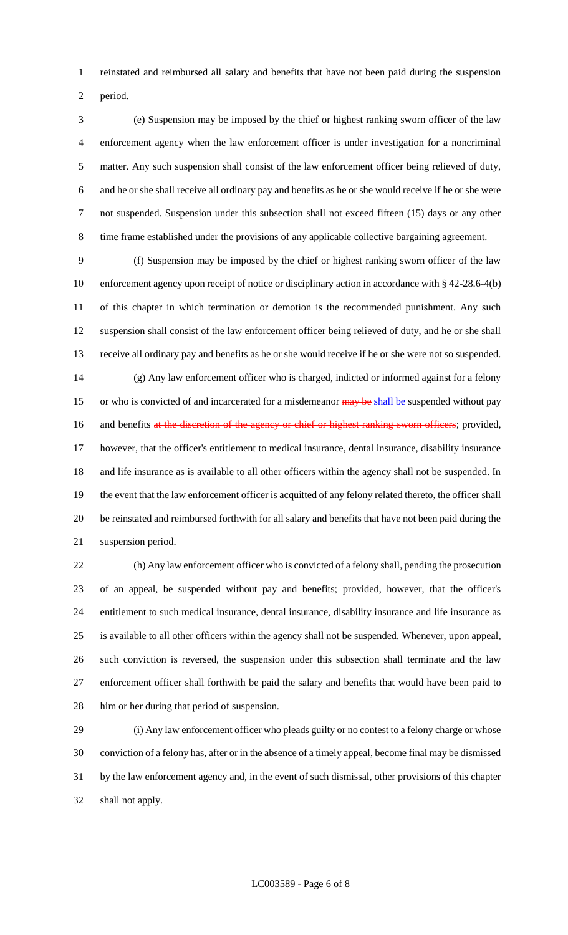reinstated and reimbursed all salary and benefits that have not been paid during the suspension

period.

 (e) Suspension may be imposed by the chief or highest ranking sworn officer of the law enforcement agency when the law enforcement officer is under investigation for a noncriminal matter. Any such suspension shall consist of the law enforcement officer being relieved of duty, and he or she shall receive all ordinary pay and benefits as he or she would receive if he or she were not suspended. Suspension under this subsection shall not exceed fifteen (15) days or any other time frame established under the provisions of any applicable collective bargaining agreement.

 (f) Suspension may be imposed by the chief or highest ranking sworn officer of the law enforcement agency upon receipt of notice or disciplinary action in accordance with § 42-28.6-4(b) of this chapter in which termination or demotion is the recommended punishment. Any such suspension shall consist of the law enforcement officer being relieved of duty, and he or she shall receive all ordinary pay and benefits as he or she would receive if he or she were not so suspended. (g) Any law enforcement officer who is charged, indicted or informed against for a felony 15 or who is convicted of and incarcerated for a misdemeanor may be shall be suspended without pay 16 and benefits at the discretion of the agency or chief or highest ranking sworn officers; provided, however, that the officer's entitlement to medical insurance, dental insurance, disability insurance and life insurance as is available to all other officers within the agency shall not be suspended. In the event that the law enforcement officer is acquitted of any felony related thereto, the officer shall be reinstated and reimbursed forthwith for all salary and benefits that have not been paid during the suspension period.

 (h) Any law enforcement officer who is convicted of a felony shall, pending the prosecution of an appeal, be suspended without pay and benefits; provided, however, that the officer's entitlement to such medical insurance, dental insurance, disability insurance and life insurance as is available to all other officers within the agency shall not be suspended. Whenever, upon appeal, such conviction is reversed, the suspension under this subsection shall terminate and the law enforcement officer shall forthwith be paid the salary and benefits that would have been paid to him or her during that period of suspension.

 (i) Any law enforcement officer who pleads guilty or no contest to a felony charge or whose conviction of a felony has, after or in the absence of a timely appeal, become final may be dismissed by the law enforcement agency and, in the event of such dismissal, other provisions of this chapter shall not apply.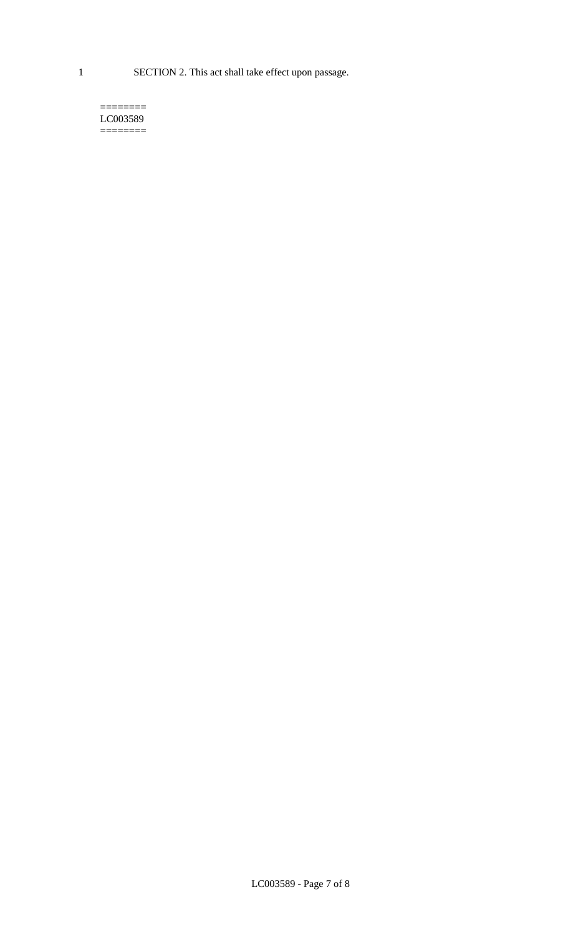1 SECTION 2. This act shall take effect upon passage.

#### $=$ LC003589  $=$